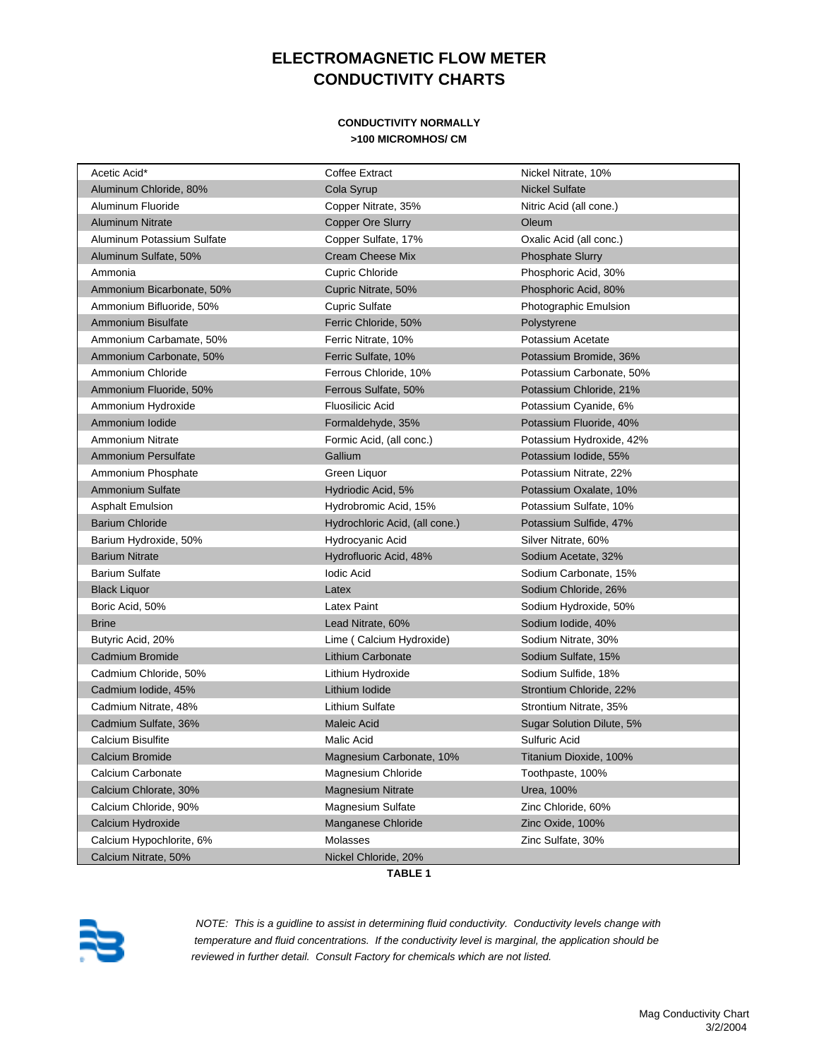## **ELECTROMAGNETIC FLOW METER CONDUCTIVITY CHARTS**

#### **CONDUCTIVITY NORMALLY >100 MICROMHOS/ CM**

| Acetic Acid*               | Coffee Extract                 | Nickel Nitrate, 10%       |
|----------------------------|--------------------------------|---------------------------|
| Aluminum Chloride, 80%     | Cola Syrup                     | <b>Nickel Sulfate</b>     |
| Aluminum Fluoride          | Copper Nitrate, 35%            | Nitric Acid (all cone.)   |
| <b>Aluminum Nitrate</b>    | <b>Copper Ore Slurry</b>       | Oleum                     |
| Aluminum Potassium Sulfate | Copper Sulfate, 17%            | Oxalic Acid (all conc.)   |
| Aluminum Sulfate, 50%      | <b>Cream Cheese Mix</b>        | <b>Phosphate Slurry</b>   |
| Ammonia                    | Cupric Chloride                | Phosphoric Acid, 30%      |
| Ammonium Bicarbonate, 50%  | Cupric Nitrate, 50%            | Phosphoric Acid, 80%      |
| Ammonium Bifluoride, 50%   | <b>Cupric Sulfate</b>          | Photographic Emulsion     |
| Ammonium Bisulfate         | Ferric Chloride, 50%           | Polystyrene               |
| Ammonium Carbamate, 50%    | Ferric Nitrate, 10%            | Potassium Acetate         |
| Ammonium Carbonate, 50%    | Ferric Sulfate, 10%            | Potassium Bromide, 36%    |
| Ammonium Chloride          | Ferrous Chloride, 10%          | Potassium Carbonate, 50%  |
| Ammonium Fluoride, 50%     | Ferrous Sulfate, 50%           | Potassium Chloride, 21%   |
| Ammonium Hydroxide         | Fluosilicic Acid               | Potassium Cyanide, 6%     |
| Ammonium Iodide            | Formaldehyde, 35%              | Potassium Fluoride, 40%   |
| <b>Ammonium Nitrate</b>    | Formic Acid, (all conc.)       | Potassium Hydroxide, 42%  |
| Ammonium Persulfate        | Gallium                        | Potassium Iodide, 55%     |
| Ammonium Phosphate         | Green Liquor                   | Potassium Nitrate, 22%    |
| <b>Ammonium Sulfate</b>    | Hydriodic Acid, 5%             | Potassium Oxalate, 10%    |
| <b>Asphalt Emulsion</b>    | Hydrobromic Acid, 15%          | Potassium Sulfate, 10%    |
| <b>Barium Chloride</b>     | Hydrochloric Acid, (all cone.) | Potassium Sulfide, 47%    |
| Barium Hydroxide, 50%      | Hydrocyanic Acid               | Silver Nitrate, 60%       |
| <b>Barium Nitrate</b>      | Hydrofluoric Acid, 48%         | Sodium Acetate, 32%       |
| <b>Barium Sulfate</b>      | lodic Acid                     | Sodium Carbonate, 15%     |
| <b>Black Liquor</b>        | Latex                          | Sodium Chloride, 26%      |
| Boric Acid, 50%            | Latex Paint                    | Sodium Hydroxide, 50%     |
| <b>Brine</b>               | Lead Nitrate, 60%              | Sodium Iodide, 40%        |
| Butyric Acid, 20%          | Lime (Calcium Hydroxide)       | Sodium Nitrate, 30%       |
| Cadmium Bromide            | Lithium Carbonate              | Sodium Sulfate, 15%       |
| Cadmium Chloride, 50%      | Lithium Hydroxide              | Sodium Sulfide, 18%       |
| Cadmium Iodide, 45%        | Lithium Iodide                 | Strontium Chloride, 22%   |
| Cadmium Nitrate, 48%       | Lithium Sulfate                | Strontium Nitrate, 35%    |
| Cadmium Sulfate, 36%       | <b>Maleic Acid</b>             | Sugar Solution Dilute, 5% |
| Calcium Bisulfite          | Malic Acid                     | Sulfuric Acid             |
| Calcium Bromide            | Magnesium Carbonate, 10%       | Titanium Dioxide, 100%    |
| Calcium Carbonate          | Magnesium Chloride             | Toothpaste, 100%          |
| Calcium Chlorate, 30%      | Magnesium Nitrate              | Urea, 100%                |
| Calcium Chloride, 90%      | Magnesium Sulfate              | Zinc Chloride, 60%        |
| Calcium Hydroxide          | Manganese Chloride             | Zinc Oxide, 100%          |
| Calcium Hypochlorite, 6%   | Molasses                       | Zinc Sulfate, 30%         |
| Calcium Nitrate, 50%       | Nickel Chloride, 20%           |                           |

**TABLE 1**



 *NOTE: This is a guidline to assist in determining fluid conductivity. Conductivity levels change with temperature and fluid concentrations. If the conductivity level is marginal, the application should be reviewed in further detail. Consult Factory for chemicals which are not listed.*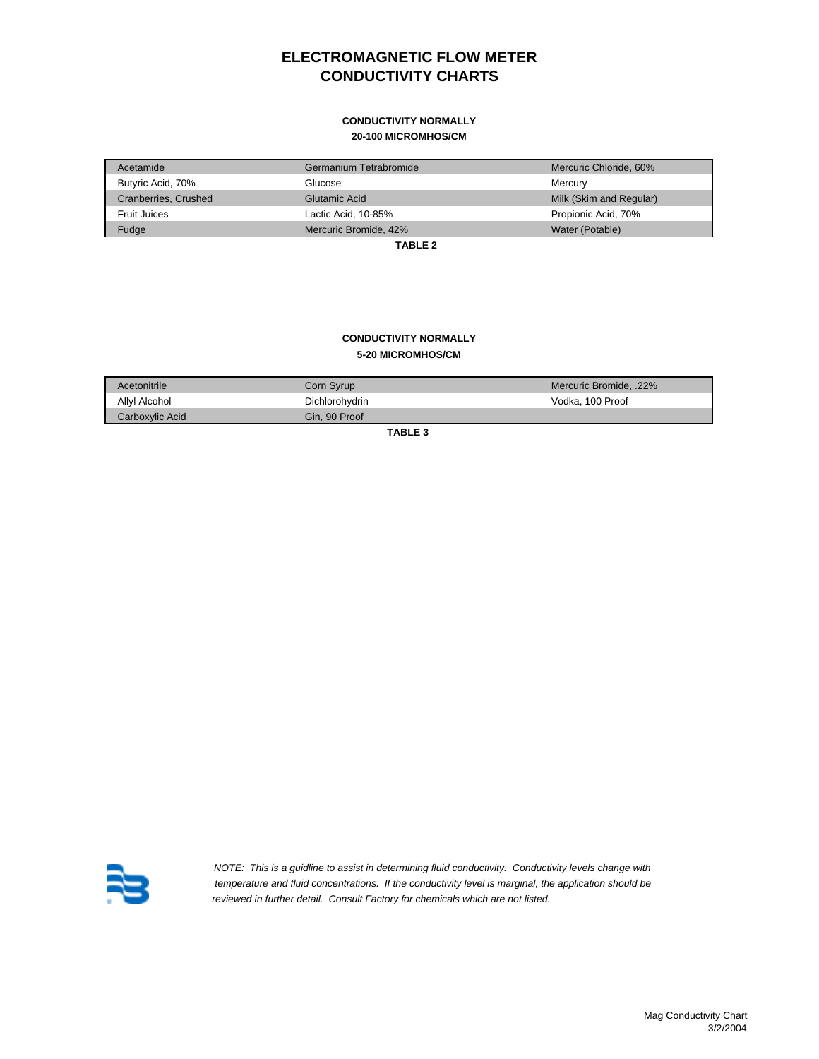## **ELECTROMAGNETIC FLOW METER CONDUCTIVITY CHARTS**

# **CONDUCTIVITY NORMALLY**

#### **20-100 MICROMHOS/CM**

| Acetamide            | Germanium Tetrabromide | Mercuric Chloride, 60%  |
|----------------------|------------------------|-------------------------|
| Butyric Acid, 70%    | Glucose                | Mercurv                 |
| Cranberries, Crushed | Glutamic Acid          | Milk (Skim and Regular) |
| Fruit Juices         | Lactic Acid, 10-85%    | Propionic Acid, 70%     |
| Fudge                | Mercuric Bromide, 42%  | Water (Potable)         |

**TABLE 2**

### **5-20 MICROMHOS/CM CONDUCTIVITY NORMALLY**

| Acetonitrile    | Corn Syrup     | Mercuric Bromide, .22% |
|-----------------|----------------|------------------------|
| Allyl Alcohol   | Dichlorohydrin | Vodka, 100 Proof       |
| Carboxylic Acid | Gin. 90 Proof  |                        |

**TABLE 3** 



 *NOTE: This is a guidline to assist in determining fluid conductivity. Conductivity levels change with temperature and fluid concentrations. If the conductivity level is marginal, the application should be reviewed in further detail. Consult Factory for chemicals which are not listed.*